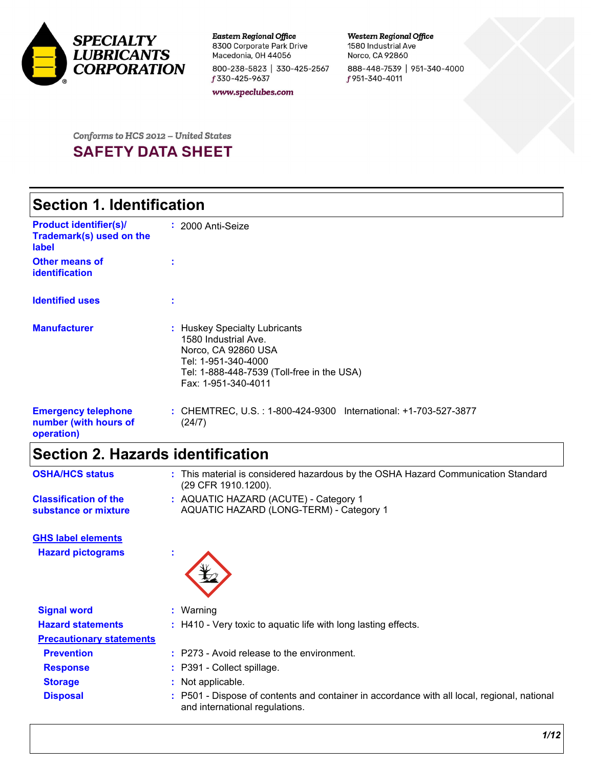

**Eastern Regional Office** 8300 Corporate Park Drive Macedonia, OH 44056 800-238-5823 | 330-425-2567 f 330-425-9637

Western Regional Office 1580 Industrial Ave Norco, CA 92860 888-448-7539 | 951-340-4000 f 951-340-4011

www.speclubes.com

# For the contract states of the contract of the contract of the contract of the contract of the contract of the contract of the contract of the contract of the contract of the contract of the contract of the contract of the

### **Section 1. Identification**

| <b>Product identifier(s)/</b><br>Trademark(s) used on the<br>label | : 2000 Anti-Seize                                                                                                                                                        |
|--------------------------------------------------------------------|--------------------------------------------------------------------------------------------------------------------------------------------------------------------------|
| <b>Other means of</b><br>identification                            |                                                                                                                                                                          |
| <b>Identified uses</b>                                             |                                                                                                                                                                          |
| <b>Manufacturer</b>                                                | : Huskey Specialty Lubricants<br>1580 Industrial Ave.<br>Norco, CA 92860 USA<br>Tel: 1-951-340-4000<br>Tel: 1-888-448-7539 (Toll-free in the USA)<br>Fax: 1-951-340-4011 |
| <b>Emergency telephone</b><br>number (with hours of<br>operation)  | : CHEMTREC, U.S.: 1-800-424-9300 International: +1-703-527-3877<br>(24/7)                                                                                                |

### **Section 2. Hazards identification**

| <b>OSHA/HCS status</b>                               | : This material is considered hazardous by the OSHA Hazard Communication Standard<br>(29 CFR 1910.1200).                      |
|------------------------------------------------------|-------------------------------------------------------------------------------------------------------------------------------|
| <b>Classification of the</b><br>substance or mixture | : AQUATIC HAZARD (ACUTE) - Category 1<br>AQUATIC HAZARD (LONG-TERM) - Category 1                                              |
| <b>GHS label elements</b>                            |                                                                                                                               |
| <b>Hazard pictograms</b>                             | ÷.                                                                                                                            |
| <b>Signal word</b>                                   | : Warning                                                                                                                     |
| <b>Hazard statements</b>                             | : H410 - Very toxic to aquatic life with long lasting effects.                                                                |
| <b>Precautionary statements</b>                      |                                                                                                                               |
| <b>Prevention</b>                                    | $:$ P273 - Avoid release to the environment.                                                                                  |
| <b>Response</b>                                      | : P391 - Collect spillage.                                                                                                    |
| <b>Storage</b>                                       | : Not applicable.                                                                                                             |
| <b>Disposal</b>                                      | : P501 - Dispose of contents and container in accordance with all local, regional, national<br>and international regulations. |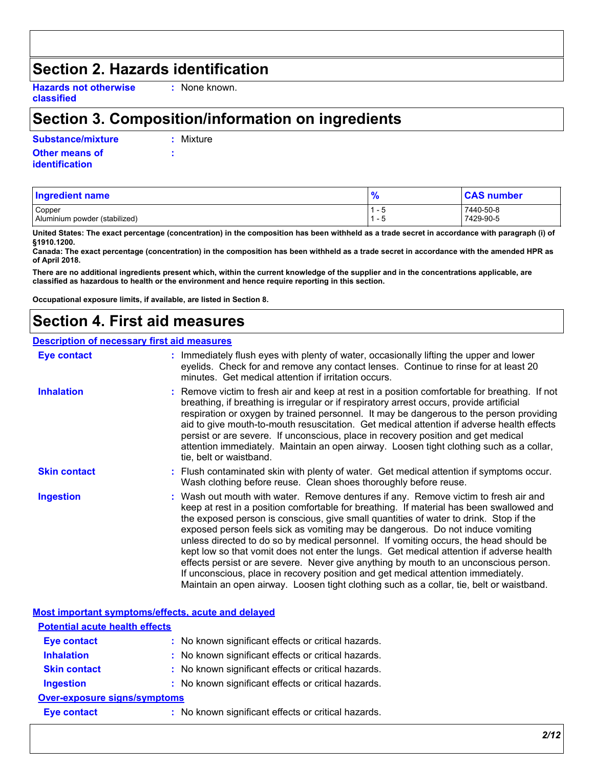### **Section 2. Hazards identification**

**Hazards not otherwise classified**

**:** None known.

### **Section 3. Composition/information on ingredients**

**Other means of Substance/mixture :**

**:** Mixture

**identification**

| Ingredient name                         | $\frac{9}{6}$     | <b>CAS number</b>      |
|-----------------------------------------|-------------------|------------------------|
| Copper<br>Aluminium powder (stabilized) | - 0<br>. н<br>- 5 | 7440-50-8<br>7429-90-5 |
|                                         |                   |                        |

**United States: The exact percentage (concentration) in the composition has been withheld as a trade secret in accordance with paragraph (i) of §1910.1200.**

**Canada: The exact percentage (concentration) in the composition has been withheld as a trade secret in accordance with the amended HPR as of April 2018.**

**There are no additional ingredients present which, within the current knowledge of the supplier and in the concentrations applicable, are classified as hazardous to health or the environment and hence require reporting in this section.**

**Occupational exposure limits, if available, are listed in Section 8.**

### **Section 4. First aid measures**

#### **Description of necessary first aid measures**

| <b>Eye contact</b>  | : Immediately flush eyes with plenty of water, occasionally lifting the upper and lower<br>eyelids. Check for and remove any contact lenses. Continue to rinse for at least 20<br>minutes. Get medical attention if irritation occurs.                                                                                                                                                                                                                                                                                                                                                                                                                                                                                                                                                                                    |
|---------------------|---------------------------------------------------------------------------------------------------------------------------------------------------------------------------------------------------------------------------------------------------------------------------------------------------------------------------------------------------------------------------------------------------------------------------------------------------------------------------------------------------------------------------------------------------------------------------------------------------------------------------------------------------------------------------------------------------------------------------------------------------------------------------------------------------------------------------|
| <b>Inhalation</b>   | : Remove victim to fresh air and keep at rest in a position comfortable for breathing. If not<br>breathing, if breathing is irregular or if respiratory arrest occurs, provide artificial<br>respiration or oxygen by trained personnel. It may be dangerous to the person providing<br>aid to give mouth-to-mouth resuscitation. Get medical attention if adverse health effects<br>persist or are severe. If unconscious, place in recovery position and get medical<br>attention immediately. Maintain an open airway. Loosen tight clothing such as a collar,<br>tie, belt or waistband.                                                                                                                                                                                                                              |
| <b>Skin contact</b> | : Flush contaminated skin with plenty of water. Get medical attention if symptoms occur.<br>Wash clothing before reuse. Clean shoes thoroughly before reuse.                                                                                                                                                                                                                                                                                                                                                                                                                                                                                                                                                                                                                                                              |
| <b>Ingestion</b>    | : Wash out mouth with water. Remove dentures if any. Remove victim to fresh air and<br>keep at rest in a position comfortable for breathing. If material has been swallowed and<br>the exposed person is conscious, give small quantities of water to drink. Stop if the<br>exposed person feels sick as vomiting may be dangerous. Do not induce vomiting<br>unless directed to do so by medical personnel. If vomiting occurs, the head should be<br>kept low so that vomit does not enter the lungs. Get medical attention if adverse health<br>effects persist or are severe. Never give anything by mouth to an unconscious person.<br>If unconscious, place in recovery position and get medical attention immediately.<br>Maintain an open airway. Loosen tight clothing such as a collar, tie, belt or waistband. |

**Most important symptoms/effects, acute and delayed**

| <b>Potential acute health effects</b> |                                                     |
|---------------------------------------|-----------------------------------------------------|
| <b>Eye contact</b>                    | : No known significant effects or critical hazards. |
| <b>Inhalation</b>                     | : No known significant effects or critical hazards. |
| <b>Skin contact</b>                   | : No known significant effects or critical hazards. |
| <b>Ingestion</b>                      | : No known significant effects or critical hazards. |
| Over-exposure signs/symptoms          |                                                     |
| <b>Eye contact</b>                    | : No known significant effects or critical hazards. |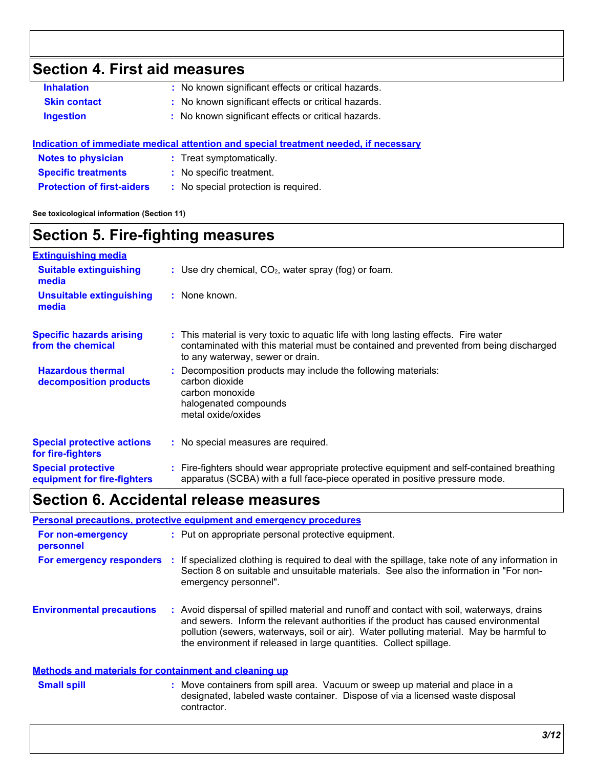### **Section 4. First aid measures**

| <b>Inhalation</b>   | : No known significant effects or critical hazards. |
|---------------------|-----------------------------------------------------|
| <b>Skin contact</b> | : No known significant effects or critical hazards. |
| Ingestion           | : No known significant effects or critical hazards. |

#### **Indication of immediate medical attention and special treatment needed, if necessary**

- **Notes to physician :** Treat symptomatically.
- **Specific treatments :** No specific treatment.
- **Protection of first-aiders :** No special protection is required.

**See toxicological information (Section 11)**

### **Section 5. Fire-fighting measures**

| <b>Extinguishing media</b>                               |                                                                                                                                                                                                                  |
|----------------------------------------------------------|------------------------------------------------------------------------------------------------------------------------------------------------------------------------------------------------------------------|
| <b>Suitable extinguishing</b><br>media                   | : Use dry chemical, $CO2$ , water spray (fog) or foam.                                                                                                                                                           |
| <b>Unsuitable extinguishing</b><br>media                 | : None known.                                                                                                                                                                                                    |
| <b>Specific hazards arising</b><br>from the chemical     | : This material is very toxic to aquatic life with long lasting effects. Fire water<br>contaminated with this material must be contained and prevented from being discharged<br>to any waterway, sewer or drain. |
| <b>Hazardous thermal</b><br>decomposition products       | Decomposition products may include the following materials:<br>÷.<br>carbon dioxide<br>carbon monoxide<br>halogenated compounds<br>metal oxide/oxides                                                            |
| <b>Special protective actions</b><br>for fire-fighters   | : No special measures are required.                                                                                                                                                                              |
| <b>Special protective</b><br>equipment for fire-fighters | : Fire-fighters should wear appropriate protective equipment and self-contained breathing<br>apparatus (SCBA) with a full face-piece operated in positive pressure mode.                                         |

### **Section 6. Accidental release measures**

|                                  | Personal precautions, protective equipment and emergency procedures                                                                                                                                                                                                                                                                             |
|----------------------------------|-------------------------------------------------------------------------------------------------------------------------------------------------------------------------------------------------------------------------------------------------------------------------------------------------------------------------------------------------|
| For non-emergency<br>personnel   | : Put on appropriate personal protective equipment.                                                                                                                                                                                                                                                                                             |
| For emergency responders         | If specialized clothing is required to deal with the spillage, take note of any information in<br>Section 8 on suitable and unsuitable materials. See also the information in "For non-<br>emergency personnel".                                                                                                                                |
| <b>Environmental precautions</b> | Avoid dispersal of spilled material and runoff and contact with soil, waterways, drains<br>and sewers. Inform the relevant authorities if the product has caused environmental<br>pollution (sewers, waterways, soil or air). Water polluting material. May be harmful to<br>the environment if released in large quantities. Collect spillage. |

#### **Methods and materials for containment and cleaning up**

- 
- **Small spill** Supervection Containers from spill area. Vacuum or sweep up material and place in a Supervection of the state of the state of the state of the state of the state of the state of the state of the state of the designated, labeled waste container. Dispose of via a licensed waste disposal contractor.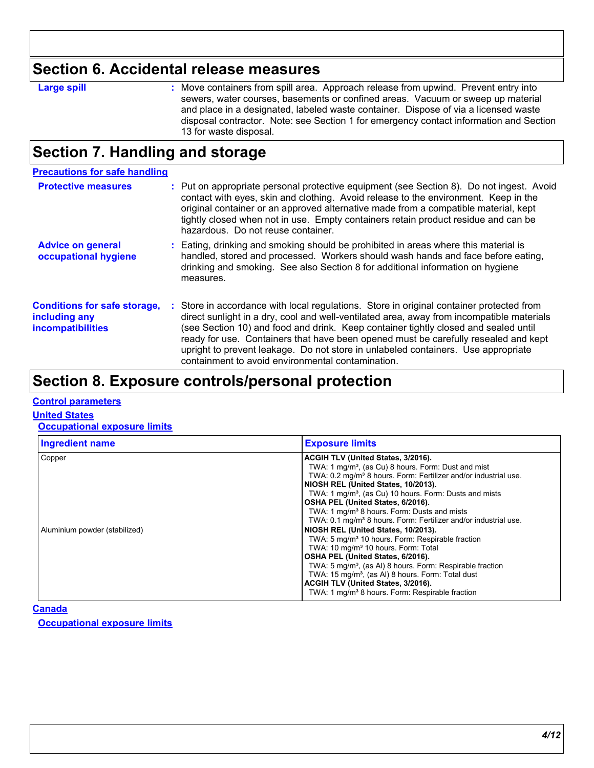### **Section 6. Accidental release measures**

| Δ   |          |
|-----|----------|
| aro | ιоπ<br>٠ |
|     |          |

**Large spill Example 20 CE 20 Section**: Move containers from spill area. Approach release from upwind. Prevent entry into sewers, water courses, basements or confined areas. Vacuum or sweep up material and place in a designated, labeled waste container. Dispose of via a licensed waste disposal contractor. Note: see Section 1 for emergency contact information and Section 13 for waste disposal.

### **Section 7. Handling and storage**

| <b>Precautions for safe handling</b>                                      |                                                                                                                                                                                                                                                                                                                                                                                                                                                                                                               |
|---------------------------------------------------------------------------|---------------------------------------------------------------------------------------------------------------------------------------------------------------------------------------------------------------------------------------------------------------------------------------------------------------------------------------------------------------------------------------------------------------------------------------------------------------------------------------------------------------|
| <b>Protective measures</b>                                                | : Put on appropriate personal protective equipment (see Section 8). Do not ingest. Avoid<br>contact with eyes, skin and clothing. Avoid release to the environment. Keep in the<br>original container or an approved alternative made from a compatible material, kept<br>tightly closed when not in use. Empty containers retain product residue and can be<br>hazardous. Do not reuse container.                                                                                                            |
| <b>Advice on general</b><br>occupational hygiene                          | : Eating, drinking and smoking should be prohibited in areas where this material is<br>handled, stored and processed. Workers should wash hands and face before eating,<br>drinking and smoking. See also Section 8 for additional information on hygiene<br>measures.                                                                                                                                                                                                                                        |
| <b>Conditions for safe storage,</b><br>including any<br>incompatibilities | : Store in accordance with local regulations. Store in original container protected from<br>direct sunlight in a dry, cool and well-ventilated area, away from incompatible materials<br>(see Section 10) and food and drink. Keep container tightly closed and sealed until<br>ready for use. Containers that have been opened must be carefully resealed and kept<br>upright to prevent leakage. Do not store in unlabeled containers. Use appropriate<br>containment to avoid environmental contamination. |

### **Section 8. Exposure controls/personal protection**

#### **Control parameters**

**United States**

**Occupational exposure limits**

| <b>Ingredient name</b>                  | <b>Exposure limits</b>                                                                                                                                                                                                                                                                                                                                                                                                                                                                                                                                                                                                                                                                                                                                                                                                                                                                                                         |
|-----------------------------------------|--------------------------------------------------------------------------------------------------------------------------------------------------------------------------------------------------------------------------------------------------------------------------------------------------------------------------------------------------------------------------------------------------------------------------------------------------------------------------------------------------------------------------------------------------------------------------------------------------------------------------------------------------------------------------------------------------------------------------------------------------------------------------------------------------------------------------------------------------------------------------------------------------------------------------------|
| Copper<br>Aluminium powder (stabilized) | ACGIH TLV (United States, 3/2016).<br>TWA: 1 mg/m <sup>3</sup> , (as Cu) 8 hours. Form: Dust and mist<br>TWA: 0.2 mg/m <sup>3</sup> 8 hours. Form: Fertilizer and/or industrial use.<br>NIOSH REL (United States, 10/2013).<br>TWA: 1 mg/m <sup>3</sup> , (as Cu) 10 hours. Form: Dusts and mists<br>OSHA PEL (United States, 6/2016).<br>TWA: 1 mg/m <sup>3</sup> 8 hours. Form: Dusts and mists<br>TWA: 0.1 mg/m <sup>3</sup> 8 hours. Form: Fertilizer and/or industrial use.<br>NIOSH REL (United States, 10/2013).<br>TWA: 5 mg/m <sup>3</sup> 10 hours. Form: Respirable fraction<br>TWA: 10 mg/m <sup>3</sup> 10 hours. Form: Total<br>OSHA PEL (United States, 6/2016).<br>TWA: 5 mg/m <sup>3</sup> , (as AI) 8 hours. Form: Respirable fraction<br>TWA: 15 mg/m <sup>3</sup> , (as AI) 8 hours. Form: Total dust<br>ACGIH TLV (United States, 3/2016).<br>TWA: 1 mg/m <sup>3</sup> 8 hours. Form: Respirable fraction |

**Canada**

**Occupational exposure limits**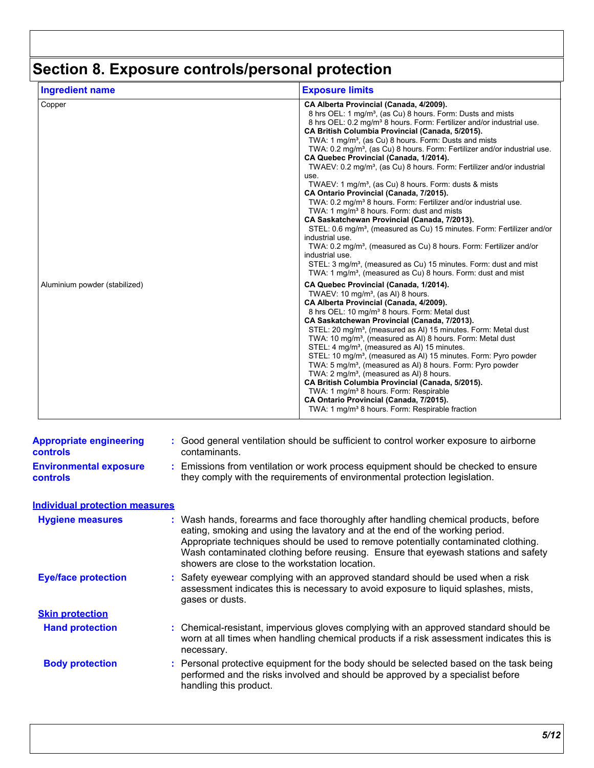# **Section 8. Exposure controls/personal protection**

| <b>Ingredient name</b>        | <b>Exposure limits</b>                                                                                                                                                                                                                                                                                                                                                                                                                                                                                                                                                                                                                                                                                                                                                                                                                                                                                                                                                                                                                                                                                                                                                   |
|-------------------------------|--------------------------------------------------------------------------------------------------------------------------------------------------------------------------------------------------------------------------------------------------------------------------------------------------------------------------------------------------------------------------------------------------------------------------------------------------------------------------------------------------------------------------------------------------------------------------------------------------------------------------------------------------------------------------------------------------------------------------------------------------------------------------------------------------------------------------------------------------------------------------------------------------------------------------------------------------------------------------------------------------------------------------------------------------------------------------------------------------------------------------------------------------------------------------|
| Copper                        | CA Alberta Provincial (Canada, 4/2009).<br>8 hrs OEL: 1 mg/m <sup>3</sup> , (as Cu) 8 hours. Form: Dusts and mists<br>8 hrs OEL: 0.2 mg/m <sup>3</sup> 8 hours. Form: Fertilizer and/or industrial use.<br>CA British Columbia Provincial (Canada, 5/2015).<br>TWA: 1 mg/m <sup>3</sup> , (as Cu) 8 hours. Form: Dusts and mists<br>TWA: 0.2 mg/m <sup>3</sup> , (as Cu) 8 hours. Form: Fertilizer and/or industrial use.<br>CA Quebec Provincial (Canada, 1/2014).<br>TWAEV: 0.2 mg/m <sup>3</sup> , (as Cu) 8 hours. Form: Fertilizer and/or industrial<br>use.<br>TWAEV: 1 mg/m <sup>3</sup> , (as Cu) 8 hours. Form: dusts & mists<br>CA Ontario Provincial (Canada, 7/2015).<br>TWA: 0.2 mg/m <sup>3</sup> 8 hours. Form: Fertilizer and/or industrial use.<br>TWA: 1 mg/m <sup>3</sup> 8 hours. Form: dust and mists<br>CA Saskatchewan Provincial (Canada, 7/2013).<br>STEL: 0.6 mg/m <sup>3</sup> , (measured as Cu) 15 minutes. Form: Fertilizer and/or<br>industrial use.<br>TWA: 0.2 mg/m <sup>3</sup> , (measured as Cu) 8 hours. Form: Fertilizer and/or<br>industrial use.<br>STEL: 3 mg/m <sup>3</sup> , (measured as Cu) 15 minutes. Form: dust and mist |
| Aluminium powder (stabilized) | TWA: 1 mg/m <sup>3</sup> , (measured as Cu) 8 hours. Form: dust and mist<br>CA Quebec Provincial (Canada, 1/2014).<br>TWAEV: 10 mg/m <sup>3</sup> , (as AI) 8 hours.<br>CA Alberta Provincial (Canada, 4/2009).<br>8 hrs OEL: 10 mg/m <sup>3</sup> 8 hours. Form: Metal dust<br>CA Saskatchewan Provincial (Canada, 7/2013).<br>STEL: 20 mg/m <sup>3</sup> , (measured as AI) 15 minutes. Form: Metal dust<br>TWA: 10 mg/m <sup>3</sup> , (measured as AI) 8 hours. Form: Metal dust<br>STEL: 4 mg/m <sup>3</sup> , (measured as AI) 15 minutes.<br>STEL: 10 mg/m <sup>3</sup> , (measured as AI) 15 minutes. Form: Pyro powder<br>TWA: 5 mg/m <sup>3</sup> , (measured as AI) 8 hours. Form: Pyro powder<br>TWA: 2 mg/m <sup>3</sup> , (measured as AI) 8 hours.<br>CA British Columbia Provincial (Canada, 5/2015).<br>TWA: 1 mg/m <sup>3</sup> 8 hours. Form: Respirable<br>CA Ontario Provincial (Canada, 7/2015).<br>TWA: 1 mg/m <sup>3</sup> 8 hours. Form: Respirable fraction                                                                                                                                                                                    |

| <b>Appropriate engineering</b><br><b>controls</b><br><b>Environmental exposure</b><br><b>controls</b> | : Good general ventilation should be sufficient to control worker exposure to airborne<br>contaminants.<br>: Emissions from ventilation or work process equipment should be checked to ensure<br>they comply with the requirements of environmental protection legislation.                                                                                                                       |
|-------------------------------------------------------------------------------------------------------|---------------------------------------------------------------------------------------------------------------------------------------------------------------------------------------------------------------------------------------------------------------------------------------------------------------------------------------------------------------------------------------------------|
| <b>Individual protection measures</b>                                                                 |                                                                                                                                                                                                                                                                                                                                                                                                   |
| <b>Hygiene measures</b>                                                                               | : Wash hands, forearms and face thoroughly after handling chemical products, before<br>eating, smoking and using the lavatory and at the end of the working period.<br>Appropriate techniques should be used to remove potentially contaminated clothing.<br>Wash contaminated clothing before reusing. Ensure that eyewash stations and safety<br>showers are close to the workstation location. |
| <b>Eye/face protection</b>                                                                            | : Safety eyewear complying with an approved standard should be used when a risk<br>assessment indicates this is necessary to avoid exposure to liquid splashes, mists,<br>gases or dusts.                                                                                                                                                                                                         |
| <b>Skin protection</b>                                                                                |                                                                                                                                                                                                                                                                                                                                                                                                   |
| <b>Hand protection</b>                                                                                | : Chemical-resistant, impervious gloves complying with an approved standard should be<br>worn at all times when handling chemical products if a risk assessment indicates this is<br>necessary.                                                                                                                                                                                                   |
| <b>Body protection</b>                                                                                | : Personal protective equipment for the body should be selected based on the task being<br>performed and the risks involved and should be approved by a specialist before<br>handling this product.                                                                                                                                                                                               |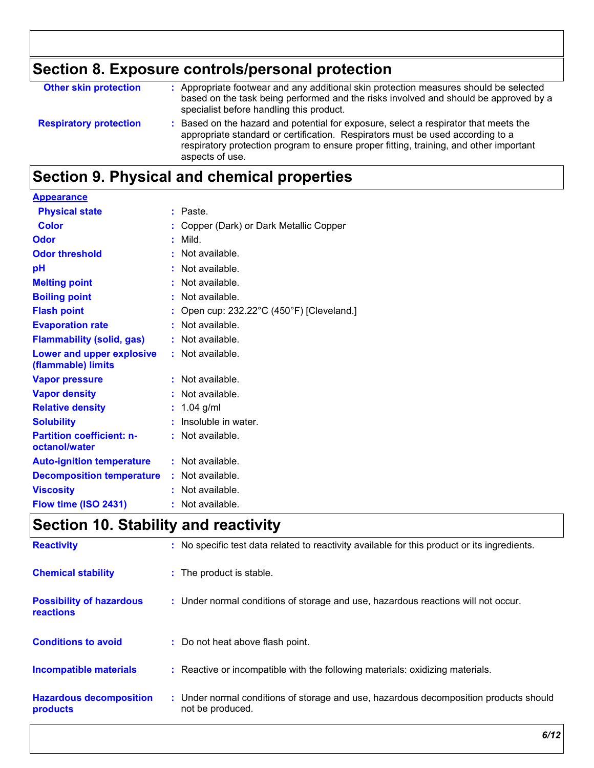# **Section 8. Exposure controls/personal protection**

| <b>Other skin protection</b>  | : Appropriate footwear and any additional skin protection measures should be selected<br>based on the task being performed and the risks involved and should be approved by a<br>specialist before handling this product.                                                           |
|-------------------------------|-------------------------------------------------------------------------------------------------------------------------------------------------------------------------------------------------------------------------------------------------------------------------------------|
| <b>Respiratory protection</b> | : Based on the hazard and potential for exposure, select a respirator that meets the<br>appropriate standard or certification. Respirators must be used according to a<br>respiratory protection program to ensure proper fitting, training, and other important<br>aspects of use. |

## **Section 9. Physical and chemical properties**

| <b>Appearance</b>                                 |                                           |
|---------------------------------------------------|-------------------------------------------|
| <b>Physical state</b>                             | : Paste.                                  |
| <b>Color</b>                                      | : Copper (Dark) or Dark Metallic Copper   |
| Odor                                              | $:$ Mild.                                 |
| <b>Odor threshold</b>                             | $\cdot$ Not available.                    |
| pH                                                | : Not available.                          |
| <b>Melting point</b>                              | : Not available.                          |
| <b>Boiling point</b>                              | : Not available.                          |
| <b>Flash point</b>                                | : Open cup: 232.22°C (450°F) [Cleveland.] |
| <b>Evaporation rate</b>                           | : Not available.                          |
| <b>Flammability (solid, gas)</b>                  | : Not available.                          |
| Lower and upper explosive<br>(flammable) limits   | : Not available.                          |
| <b>Vapor pressure</b>                             | : Not available.                          |
| <b>Vapor density</b>                              | : Not available.                          |
| <b>Relative density</b>                           | : $1.04$ g/ml                             |
| <b>Solubility</b>                                 | : Insoluble in water.                     |
| <b>Partition coefficient: n-</b><br>octanol/water | : Not available.                          |
| <b>Auto-ignition temperature</b>                  | $:$ Not available.                        |
| <b>Decomposition temperature</b>                  | : Not available.                          |
| <b>Viscosity</b>                                  | : Not available.                          |
| Flow time (ISO 2431)                              | : Not available.                          |

### **Section 10. Stability and reactivity**

| <b>Reactivity</b>                            | : No specific test data related to reactivity available for this product or its ingredients.              |
|----------------------------------------------|-----------------------------------------------------------------------------------------------------------|
| <b>Chemical stability</b>                    | : The product is stable.                                                                                  |
| <b>Possibility of hazardous</b><br>reactions | : Under normal conditions of storage and use, hazardous reactions will not occur.                         |
| <b>Conditions to avoid</b>                   | : Do not heat above flash point.                                                                          |
| <b>Incompatible materials</b>                | : Reactive or incompatible with the following materials: oxidizing materials.                             |
| <b>Hazardous decomposition</b><br>products   | : Under normal conditions of storage and use, hazardous decomposition products should<br>not be produced. |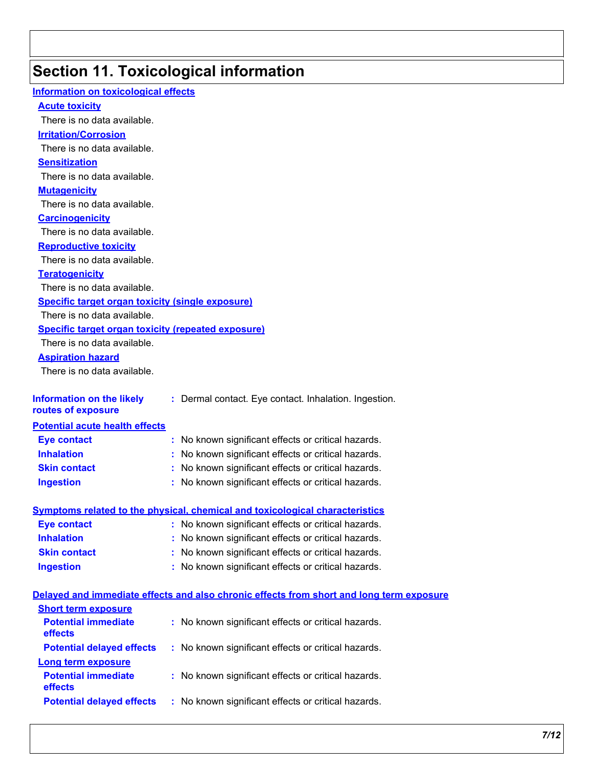# **Section 11. Toxicological information**

| <b>Information on toxicological effects</b>               |                                                                                          |
|-----------------------------------------------------------|------------------------------------------------------------------------------------------|
| <b>Acute toxicity</b>                                     |                                                                                          |
| There is no data available.                               |                                                                                          |
| <b>Irritation/Corrosion</b>                               |                                                                                          |
| There is no data available.                               |                                                                                          |
| <b>Sensitization</b>                                      |                                                                                          |
| There is no data available.                               |                                                                                          |
| <b>Mutagenicity</b>                                       |                                                                                          |
| There is no data available.                               |                                                                                          |
| <b>Carcinogenicity</b>                                    |                                                                                          |
| There is no data available.                               |                                                                                          |
| <b>Reproductive toxicity</b>                              |                                                                                          |
| There is no data available.                               |                                                                                          |
| <b>Teratogenicity</b>                                     |                                                                                          |
| There is no data available.                               |                                                                                          |
| <b>Specific target organ toxicity (single exposure)</b>   |                                                                                          |
| There is no data available.                               |                                                                                          |
| <b>Specific target organ toxicity (repeated exposure)</b> |                                                                                          |
| There is no data available.                               |                                                                                          |
| <b>Aspiration hazard</b>                                  |                                                                                          |
| There is no data available.                               |                                                                                          |
|                                                           |                                                                                          |
| <b>Information on the likely</b><br>routes of exposure    | : Dermal contact. Eye contact. Inhalation. Ingestion.                                    |
| <b>Potential acute health effects</b>                     |                                                                                          |
| <b>Eye contact</b>                                        | : No known significant effects or critical hazards.                                      |
| <b>Inhalation</b>                                         | : No known significant effects or critical hazards.                                      |
| <b>Skin contact</b>                                       | : No known significant effects or critical hazards.                                      |
| <b>Ingestion</b>                                          | : No known significant effects or critical hazards.                                      |
|                                                           |                                                                                          |
|                                                           | <u>Symptoms related to the physical, chemical and toxicological characteristics</u>      |
| <b>Eye contact</b>                                        | : No known significant effects or critical hazards.                                      |
| <b>Inhalation</b>                                         | : No known significant effects or critical hazards.                                      |
| <b>Skin contact</b>                                       | : No known significant effects or critical hazards.                                      |
| <b>Ingestion</b>                                          | : No known significant effects or critical hazards.                                      |
|                                                           |                                                                                          |
|                                                           | Delayed and immediate effects and also chronic effects from short and long term exposure |
| <b>Short term exposure</b>                                |                                                                                          |
| <b>Potential immediate</b><br>effects                     | : No known significant effects or critical hazards.                                      |
| <b>Potential delayed effects</b>                          | : No known significant effects or critical hazards.                                      |
| Long term exposure                                        |                                                                                          |
| <b>Potential immediate</b><br>effects                     | : No known significant effects or critical hazards.                                      |
| <b>Potential delayed effects</b>                          | : No known significant effects or critical hazards.                                      |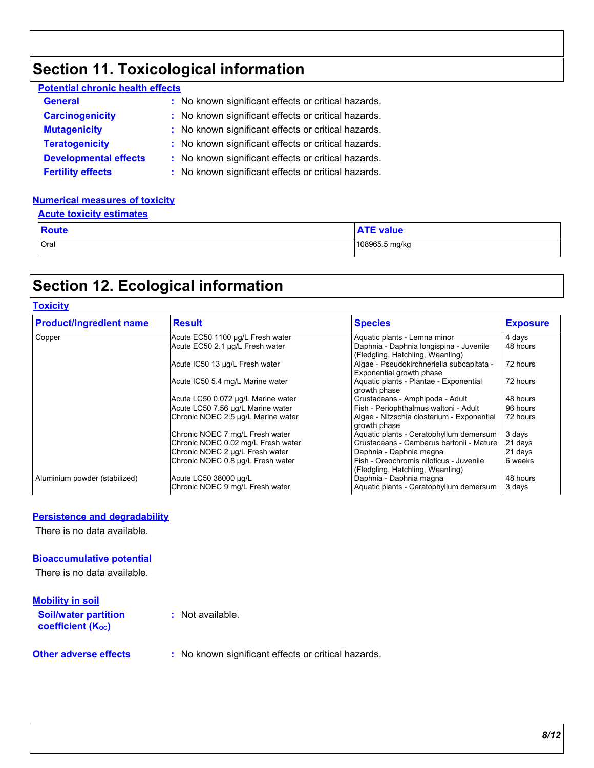## **Section 11. Toxicological information**

| <b>Potential chronic health effects</b>             |
|-----------------------------------------------------|
| : No known significant effects or critical hazards. |
| : No known significant effects or critical hazards. |
| : No known significant effects or critical hazards. |
| : No known significant effects or critical hazards. |
| : No known significant effects or critical hazards. |
| : No known significant effects or critical hazards. |
|                                                     |

#### **Numerical measures of toxicity**

| <b>Acute toxicity estimates</b> |                  |
|---------------------------------|------------------|
| <b>Route</b>                    | <b>ATE value</b> |
| Oral                            | 108965.5 mg/kg   |

### **Section 12. Ecological information**

#### **Toxicity**

| <b>Product/ingredient name</b> | <b>Result</b>                      | <b>Species</b>                                                              | <b>Exposure</b> |
|--------------------------------|------------------------------------|-----------------------------------------------------------------------------|-----------------|
| Copper                         | Acute EC50 1100 µg/L Fresh water   | Aquatic plants - Lemna minor                                                | 4 days          |
|                                | Acute EC50 2.1 µg/L Fresh water    | Daphnia - Daphnia Iongispina - Juvenile<br>(Fledgling, Hatchling, Weanling) | 48 hours        |
|                                | Acute IC50 13 µg/L Fresh water     | Algae - Pseudokirchneriella subcapitata -<br>Exponential growth phase       | 72 hours        |
|                                | Acute IC50 5.4 mg/L Marine water   | Aquatic plants - Plantae - Exponential<br>growth phase                      | 72 hours        |
|                                | Acute LC50 0.072 µg/L Marine water | Crustaceans - Amphipoda - Adult                                             | 48 hours        |
|                                | Acute LC50 7.56 µg/L Marine water  | Fish - Periophthalmus waltoni - Adult                                       | 96 hours        |
|                                | Chronic NOEC 2.5 µg/L Marine water | Algae - Nitzschia closterium - Exponential<br>growth phase                  | 72 hours        |
|                                | Chronic NOEC 7 mg/L Fresh water    | Aquatic plants - Ceratophyllum demersum                                     | 3 days          |
|                                | Chronic NOEC 0.02 mg/L Fresh water | Crustaceans - Cambarus bartonii - Mature                                    | 21 days         |
|                                | Chronic NOEC 2 µg/L Fresh water    | Daphnia - Daphnia magna                                                     | 21 days         |
|                                | Chronic NOEC 0.8 µg/L Fresh water  | Fish - Oreochromis niloticus - Juvenile<br>(Fledgling, Hatchling, Weanling) | 6 weeks         |
| Aluminium powder (stabilized)  | Acute LC50 38000 µg/L              | Daphnia - Daphnia magna                                                     | 48 hours        |
|                                | Chronic NOEC 9 mg/L Fresh water    | Aquatic plants - Ceratophyllum demersum                                     | 3 days          |

#### **Persistence and degradability**

There is no data available.

#### **Bioaccumulative potential**

There is no data available.

#### **Mobility in soil**

| <b>Soil/water partition</b><br><b>coefficient (Koc)</b> | : Not available.            |
|---------------------------------------------------------|-----------------------------|
| Other adverse effects                                   | . No known eignificant offe |

**Other adverse effects** : No known significant effects or critical hazards.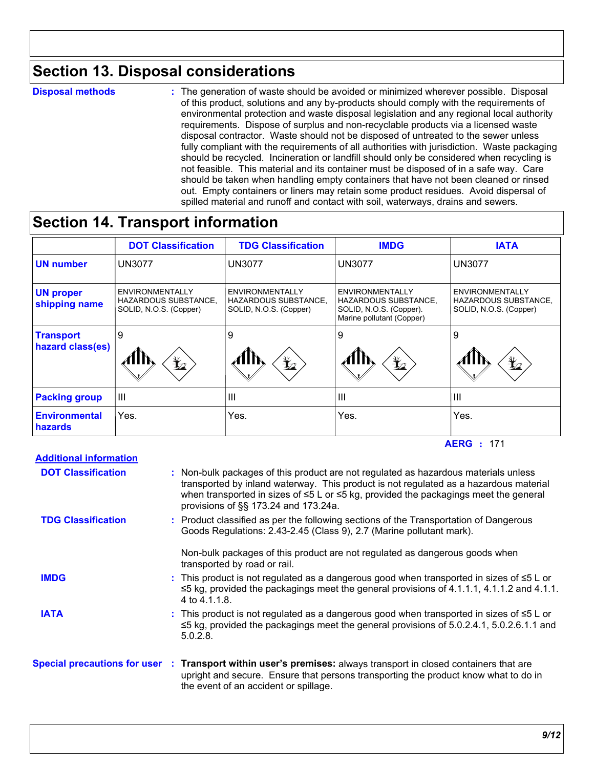### **Section 13. Disposal considerations**

**Disposal methods :**

The generation of waste should be avoided or minimized wherever possible. Disposal of this product, solutions and any by-products should comply with the requirements of environmental protection and waste disposal legislation and any regional local authority requirements. Dispose of surplus and non-recyclable products via a licensed waste disposal contractor. Waste should not be disposed of untreated to the sewer unless fully compliant with the requirements of all authorities with jurisdiction. Waste packaging should be recycled. Incineration or landfill should only be considered when recycling is not feasible. This material and its container must be disposed of in a safe way. Care should be taken when handling empty containers that have not been cleaned or rinsed out. Empty containers or liners may retain some product residues. Avoid dispersal of spilled material and runoff and contact with soil, waterways, drains and sewers.

### **Section 14. Transport information**

|                                        | <b>DOT Classification</b>                                                | <b>TDG Classification</b>                                                | <b>IMDG</b>                                                                                                   | <b>IATA</b>                                                                     |
|----------------------------------------|--------------------------------------------------------------------------|--------------------------------------------------------------------------|---------------------------------------------------------------------------------------------------------------|---------------------------------------------------------------------------------|
| <b>UN number</b>                       | <b>UN3077</b>                                                            | <b>UN3077</b>                                                            | <b>UN3077</b>                                                                                                 | <b>UN3077</b>                                                                   |
| <b>UN proper</b><br>shipping name      | ENVIRONMENTALLY<br><b>HAZARDOUS SUBSTANCE,</b><br>SOLID, N.O.S. (Copper) | <b>ENVIRONMENTALLY</b><br>HAZARDOUS SUBSTANCE,<br>SOLID, N.O.S. (Copper) | <b>ENVIRONMENTALLY</b><br><b>HAZARDOUS SUBSTANCE,</b><br>SOLID, N.O.S. (Copper).<br>Marine pollutant (Copper) | <b>ENVIRONMENTALLY</b><br><b>HAZARDOUS SUBSTANCE,</b><br>SOLID, N.O.S. (Copper) |
| <b>Transport</b><br>hazard class(es)   | 9<br>$\bigstar$                                                          | 9<br>$\bigstar$                                                          | 9<br>$\bigstar$                                                                                               | 9<br>$\bigstar$                                                                 |
| <b>Packing group</b>                   | $\mathbf{III}$                                                           | $\mathbf{III}$                                                           | $\mathbf{III}$                                                                                                | $\mathbf{III}$                                                                  |
| <b>Environmental</b><br><b>hazards</b> | Yes.                                                                     | Yes.                                                                     | Yes.                                                                                                          | Yes.                                                                            |

#### **AERG :** 171

| <b>Additional information</b> |                                                                                                                                                                                                                                                                                                                          |
|-------------------------------|--------------------------------------------------------------------------------------------------------------------------------------------------------------------------------------------------------------------------------------------------------------------------------------------------------------------------|
| <b>DOT Classification</b>     | : Non-bulk packages of this product are not regulated as hazardous materials unless<br>transported by inland waterway. This product is not regulated as a hazardous material<br>when transported in sizes of $\leq 5$ L or $\leq 5$ kg, provided the packagings meet the general<br>provisions of §§ 173.24 and 173.24a. |
| <b>TDG Classification</b>     | : Product classified as per the following sections of the Transportation of Dangerous<br>Goods Regulations: 2.43-2.45 (Class 9), 2.7 (Marine pollutant mark).                                                                                                                                                            |
|                               | Non-bulk packages of this product are not regulated as dangerous goods when<br>transported by road or rail.                                                                                                                                                                                                              |
| <b>IMDG</b>                   | : This product is not regulated as a dangerous good when transported in sizes of $\leq 5$ L or<br>$\leq$ 5 kg, provided the packagings meet the general provisions of 4.1.1.1, 4.1.1.2 and 4.1.1.<br>4 to 4.1.1.8.                                                                                                       |
| <b>IATA</b>                   | : This product is not regulated as a dangerous good when transported in sizes of $\leq 5$ L or<br>$\leq$ 5 kg, provided the packagings meet the general provisions of 5.0.2.4.1, 5.0.2.6.1.1 and<br>$5.0.2.8$ .                                                                                                          |
|                               | Special precautions for user : Transport within user's premises: always transport in closed containers that are<br>upright and secure. Ensure that persons transporting the product know what to do in<br>the event of an accident or spillage.                                                                          |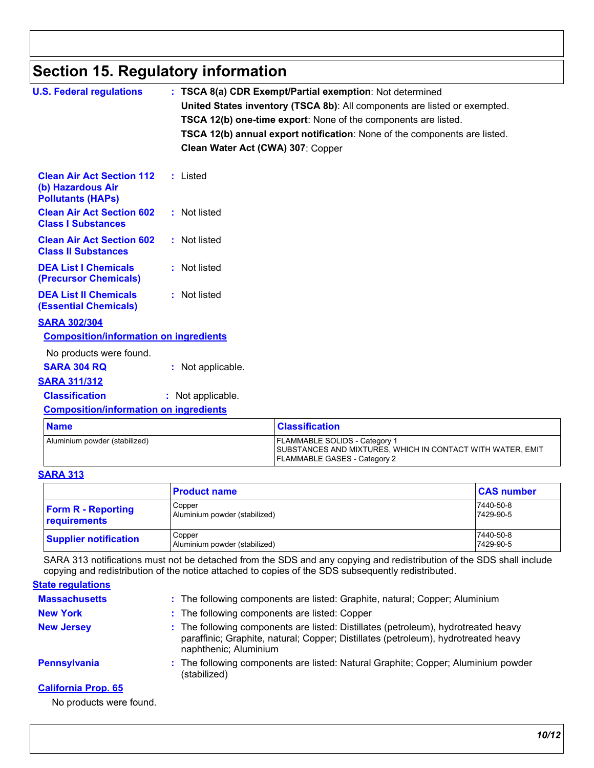## **Section 15. Regulatory information**

| <b>U.S. Federal regulations</b>                                                   | : TSCA 8(a) CDR Exempt/Partial exemption: Not determined                  |
|-----------------------------------------------------------------------------------|---------------------------------------------------------------------------|
|                                                                                   | United States inventory (TSCA 8b): All components are listed or exempted. |
|                                                                                   | <b>TSCA 12(b) one-time export:</b> None of the components are listed.     |
|                                                                                   | TSCA 12(b) annual export notification: None of the components are listed. |
|                                                                                   | Clean Water Act (CWA) 307: Copper                                         |
| <b>Clean Air Act Section 112</b><br>(b) Hazardous Air<br><b>Pollutants (HAPS)</b> | : Listed                                                                  |
| <b>Clean Air Act Section 602</b><br><b>Class I Substances</b>                     | : Not listed                                                              |
| <b>Clean Air Act Section 602</b><br><b>Class II Substances</b>                    | : Not listed                                                              |
| <b>DEA List I Chemicals</b><br>(Precursor Chemicals)                              | : Not listed                                                              |
| <b>DEA List II Chemicals</b><br><b>(Essential Chemicals)</b>                      | : Not listed                                                              |
| <b>SARA 302/304</b>                                                               |                                                                           |
| <b>Composition/information on ingredients</b>                                     |                                                                           |
| No products were found.                                                           |                                                                           |
| <b>SARA 304 RQ</b>                                                                | : Not applicable.                                                         |
| <b>SARA 311/312</b>                                                               |                                                                           |
| <b>Classification</b>                                                             | : Not applicable.                                                         |
| <b>Composition/information on ingredients</b>                                     |                                                                           |
|                                                                                   |                                                                           |

| <b>Name</b>                   | <u> Classification</u>                                                                                                                    |
|-------------------------------|-------------------------------------------------------------------------------------------------------------------------------------------|
| Aluminium powder (stabilized) | <b>FLAMMABLE SOLIDS - Category 1</b><br>SUBSTANCES AND MIXTURES, WHICH IN CONTACT WITH WATER, EMIT<br><b>FLAMMABLE GASES - Category 2</b> |

#### **SARA 313**

|                                           | <b>Product name</b>                     | <b>CAS number</b>      |
|-------------------------------------------|-----------------------------------------|------------------------|
| <b>Form R - Reporting</b><br>requirements | Copper<br>Aluminium powder (stabilized) | 7440-50-8<br>7429-90-5 |
| <b>Supplier notification</b>              | Copper<br>Aluminium powder (stabilized) | 7440-50-8<br>7429-90-5 |

SARA 313 notifications must not be detached from the SDS and any copying and redistribution of the SDS shall include copying and redistribution of the notice attached to copies of the SDS subsequently redistributed.

#### **State regulations**

| <b>Massachusetts</b>       | : The following components are listed: Graphite, natural; Copper; Aluminium                                                                                                                       |
|----------------------------|---------------------------------------------------------------------------------------------------------------------------------------------------------------------------------------------------|
| <b>New York</b>            | : The following components are listed: Copper                                                                                                                                                     |
| <b>New Jersey</b>          | : The following components are listed: Distillates (petroleum), hydrotreated heavy<br>paraffinic; Graphite, natural; Copper; Distillates (petroleum), hydrotreated heavy<br>naphthenic; Aluminium |
| Pennsylvania               | : The following components are listed: Natural Graphite; Copper; Aluminium powder<br>(stabilized)                                                                                                 |
| <b>California Prop. 65</b> |                                                                                                                                                                                                   |

No products were found.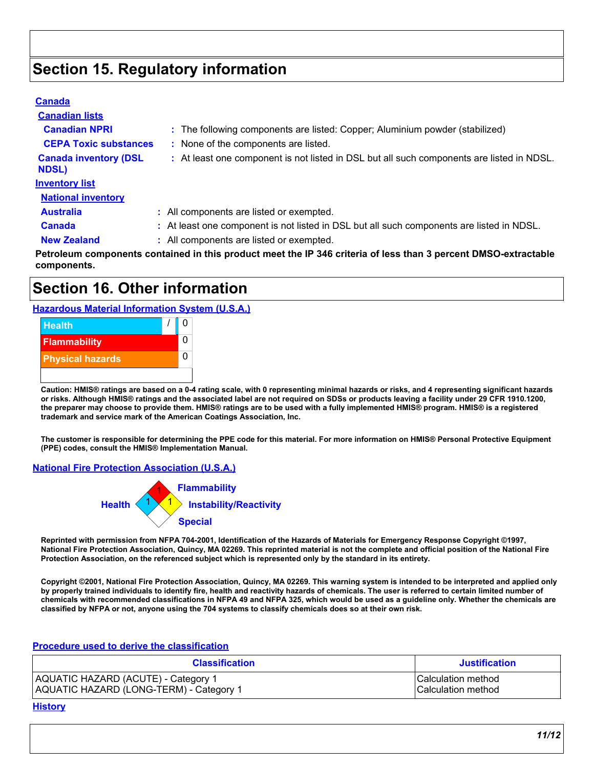### **Section 15. Regulatory information**

#### **Canada**

| <b>Canadian lists</b>                        |                                                                                           |
|----------------------------------------------|-------------------------------------------------------------------------------------------|
| <b>Canadian NPRI</b>                         | : The following components are listed: Copper; Aluminium powder (stabilized)              |
| <b>CEPA Toxic substances</b>                 | : None of the components are listed.                                                      |
| <b>Canada inventory (DSL</b><br><b>NDSL)</b> | : At least one component is not listed in DSL but all such components are listed in NDSL. |
| <b>Inventory list</b>                        |                                                                                           |
| <b>National inventory</b>                    |                                                                                           |
| <b>Australia</b>                             | : All components are listed or exempted.                                                  |
| <b>Canada</b>                                | : At least one component is not listed in DSL but all such components are listed in NDSL. |
| <b>New Zealand</b>                           | : All components are listed or exempted.                                                  |
|                                              |                                                                                           |

**Petroleum components contained in this product meet the IP 346 criteria of less than 3 percent DMSO-extractable components.**

### **Section 16. Other information**

**Hazardous Material Information System (U.S.A.)**



**Caution: HMIS® ratings are based on a 0-4 rating scale, with 0 representing minimal hazards or risks, and 4 representing significant hazards or risks. Although HMIS® ratings and the associated label are not required on SDSs or products leaving a facility under 29 CFR 1910.1200, the preparer may choose to provide them. HMIS® ratings are to be used with a fully implemented HMIS® program. HMIS® is a registered trademark and service mark of the American Coatings Association, Inc.**

**The customer is responsible for determining the PPE code for this material. For more information on HMIS® Personal Protective Equipment (PPE) codes, consult the HMIS® Implementation Manual.**

#### **National Fire Protection Association (U.S.A.)**



**Reprinted with permission from NFPA 704-2001, Identification of the Hazards of Materials for Emergency Response Copyright ©1997, National Fire Protection Association, Quincy, MA 02269. This reprinted material is not the complete and official position of the National Fire Protection Association, on the referenced subject which is represented only by the standard in its entirety.**

**Copyright ©2001, National Fire Protection Association, Quincy, MA 02269. This warning system is intended to be interpreted and applied only by properly trained individuals to identify fire, health and reactivity hazards of chemicals. The user is referred to certain limited number of chemicals with recommended classifications in NFPA 49 and NFPA 325, which would be used as a guideline only. Whether the chemicals are classified by NFPA or not, anyone using the 704 systems to classify chemicals does so at their own risk.**

#### **Procedure used to derive the classification**

| <b>Classification</b>                   | <b>Justification</b>       |
|-----------------------------------------|----------------------------|
| AQUATIC HAZARD (ACUTE) - Category 1     | <b>ICalculation method</b> |
| AQUATIC HAZARD (LONG-TERM) - Category 1 | <b>Calculation method</b>  |

#### **History**